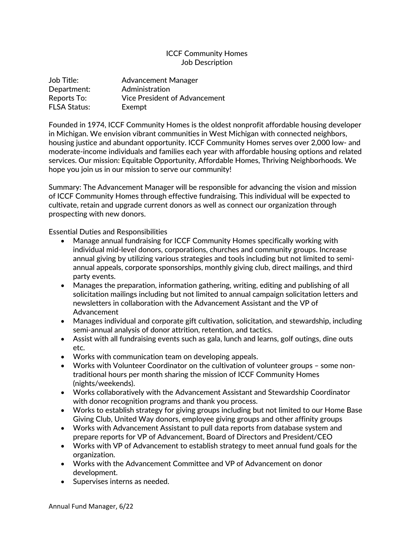# ICCF Community Homes Job Description

| Job Title:          | <b>Advancement Manager</b>           |
|---------------------|--------------------------------------|
| Department:         | Administration                       |
| Reports To:         | <b>Vice President of Advancement</b> |
| <b>FLSA Status:</b> | Exempt                               |

Founded in 1974, ICCF Community Homes is the oldest nonprofit affordable housing developer in Michigan. We envision vibrant communities in West Michigan with connected neighbors, housing justice and abundant opportunity. ICCF Community Homes serves over 2,000 low- and moderate-income individuals and families each year with affordable housing options and related services. Our mission: Equitable Opportunity, Affordable Homes, Thriving Neighborhoods. We hope you join us in our mission to serve our community!

Summary: The Advancement Manager will be responsible for advancing the vision and mission of ICCF Community Homes through effective fundraising. This individual will be expected to cultivate, retain and upgrade current donors as well as connect our organization through prospecting with new donors.

Essential Duties and Responsibilities

- Manage annual fundraising for ICCF Community Homes specifically working with individual mid-level donors, corporations, churches and community groups. Increase annual giving by utilizing various strategies and tools including but not limited to semiannual appeals, corporate sponsorships, monthly giving club, direct mailings, and third party events.
- Manages the preparation, information gathering, writing, editing and publishing of all solicitation mailings including but not limited to annual campaign solicitation letters and newsletters in collaboration with the Advancement Assistant and the VP of Advancement
- Manages individual and corporate gift cultivation, solicitation, and stewardship, including semi-annual analysis of donor attrition, retention, and tactics.
- Assist with all fundraising events such as gala, lunch and learns, golf outings, dine outs etc.
- Works with communication team on developing appeals.
- Works with Volunteer Coordinator on the cultivation of volunteer groups some nontraditional hours per month sharing the mission of ICCF Community Homes (nights/weekends).
- Works collaboratively with the Advancement Assistant and Stewardship Coordinator with donor recognition programs and thank you process.
- Works to establish strategy for giving groups including but not limited to our Home Base Giving Club, United Way donors, employee giving groups and other affinity groups
- Works with Advancement Assistant to pull data reports from database system and prepare reports for VP of Advancement, Board of Directors and President/CEO
- Works with VP of Advancement to establish strategy to meet annual fund goals for the organization.
- Works with the Advancement Committee and VP of Advancement on donor development.
- Supervises interns as needed.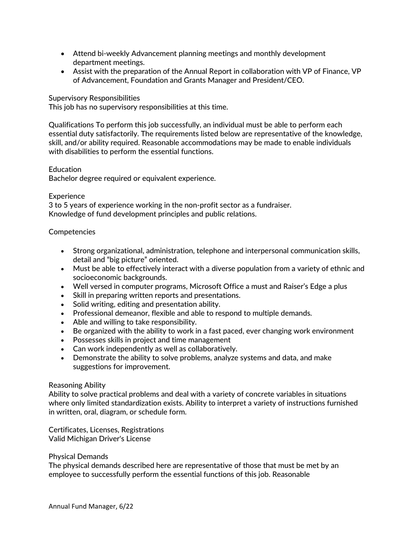- Attend bi-weekly Advancement planning meetings and monthly development department meetings.
- Assist with the preparation of the Annual Report in collaboration with VP of Finance, VP of Advancement, Foundation and Grants Manager and President/CEO.

# Supervisory Responsibilities

This job has no supervisory responsibilities at this time.

Qualifications To perform this job successfully, an individual must be able to perform each essential duty satisfactorily. The requirements listed below are representative of the knowledge, skill, and/or ability required. Reasonable accommodations may be made to enable individuals with disabilities to perform the essential functions.

### Education

Bachelor degree required or equivalent experience.

#### **Experience**

3 to 5 years of experience working in the non-profit sector as a fundraiser. Knowledge of fund development principles and public relations.

### **Competencies**

- Strong organizational, administration, telephone and interpersonal communication skills, detail and "big picture" oriented.
- Must be able to effectively interact with a diverse population from a variety of ethnic and socioeconomic backgrounds.
- Well versed in computer programs, Microsoft Office a must and Raiser's Edge a plus
- Skill in preparing written reports and presentations.
- Solid writing, editing and presentation ability.
- Professional demeanor, flexible and able to respond to multiple demands.
- Able and willing to take responsibility.
- Be organized with the ability to work in a fast paced, ever changing work environment
- Possesses skills in project and time management
- Can work independently as well as collaboratively.
- Demonstrate the ability to solve problems, analyze systems and data, and make suggestions for improvement.

#### Reasoning Ability

Ability to solve practical problems and deal with a variety of concrete variables in situations where only limited standardization exists. Ability to interpret a variety of instructions furnished in written, oral, diagram, or schedule form.

Certificates, Licenses, Registrations Valid Michigan Driver's License

#### Physical Demands

The physical demands described here are representative of those that must be met by an employee to successfully perform the essential functions of this job. Reasonable